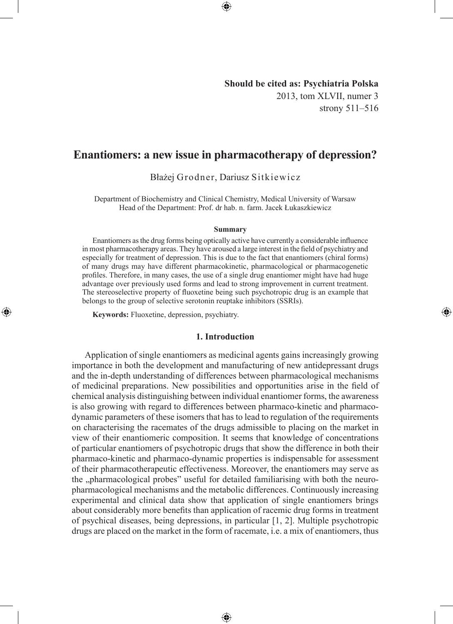## **Should be cited as: Psychiatria Polska** 2013, tom XLVII, numer 3 strony 511–516

◈

# **Enantiomers: a new issue in pharmacotherapy of depression?**

⊕

Błażej Grodner, Dariusz Sitkiewicz

Department of Biochemistry and Clinical Chemistry, Medical University of Warsaw Head of the Department: Prof. dr hab. n. farm. Jacek Łukaszkiewicz

#### **Summary**

Enantiomers as the drug forms being optically active have currently a considerable influence in most pharmacotherapy areas. They have aroused a large interest in the field of psychiatry and especially for treatment of depression. This is due to the fact that enantiomers (chiral forms) of many drugs may have different pharmacokinetic, pharmacological or pharmacogenetic profiles. Therefore, in many cases, the use of a single drug enantiomer might have had huge advantage over previously used forms and lead to strong improvement in current treatment. The stereoselective property of fluoxetine being such psychotropic drug is an example that belongs to the group of selective serotonin reuptake inhibitors (SSRIs).

**Keywords:** Fluoxetine, depression, psychiatry.

◈

### **1. Introduction**

Application of single enantiomers as medicinal agents gains increasingly growing importance in both the development and manufacturing of new antidepressant drugs and the in-depth understanding of differences between pharmacological mechanisms of medicinal preparations. New possibilities and opportunities arise in the field of chemical analysis distinguishing between individual enantiomer forms, the awareness is also growing with regard to differences between pharmaco-kinetic and pharmacodynamic parameters of these isomers that has to lead to regulation of the requirements on characterising the racemates of the drugs admissible to placing on the market in view of their enantiomeric composition. It seems that knowledge of concentrations of particular enantiomers of psychotropic drugs that show the difference in both their pharmaco-kinetic and pharmaco-dynamic properties is indispensable for assessment of their pharmacotherapeutic effectiveness. Moreover, the enantiomers may serve as the "pharmacological probes" useful for detailed familiarising with both the neuropharmacological mechanisms and the metabolic differences. Continuously increasing experimental and clinical data show that application of single enantiomers brings about considerably more benefits than application of racemic drug forms in treatment of psychical diseases, being depressions, in particular [1, 2]. Multiple psychotropic drugs are placed on the market in the form of racemate, i.e. a mix of enantiomers, thus

⊕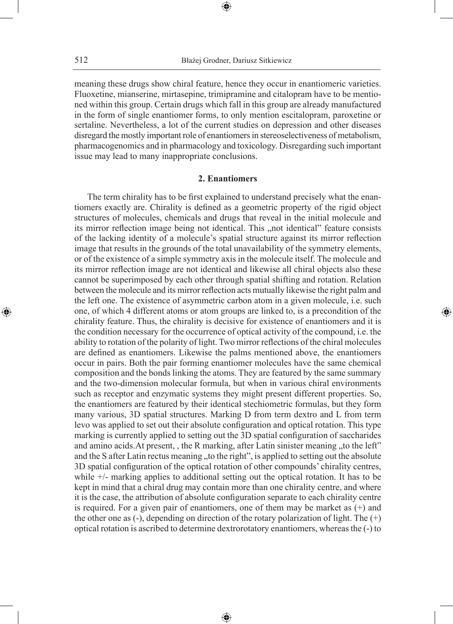⊕

meaning these drugs show chiral feature, hence they occur in enantiomeric varieties. Fluoxetine, mianserine, mirtasepine, trimipramine and citalopram have to be mentioned within this group. Certain drugs which fall in this group are already manufactured in the form of single enantiomer forms, to only mention escitalopram, paroxetine or sertaline. Nevertheless, a lot of the current studies on depression and other diseases disregard the mostly important role of enantiomers in stereoselectiveness of metabolism, pharmacogenomics and in pharmacology and toxicology. Disregarding such important issue may lead to many inappropriate conclusions.

### **2. Enantiomers**

The term chirality has to be first explained to understand precisely what the enantiomers exactly are. Chirality is defined as a geometric property of the rigid object structures of molecules, chemicals and drugs that reveal in the initial molecule and its mirror reflection image being not identical. This "not identical" feature consists of the lacking identity of a molecule's spatial structure against its mirror reflection image that results in the grounds of the total unavailability of the symmetry elements, or of the existence of a simple symmetry axis in the molecule itself. The molecule and its mirror reflection image are not identical and likewise all chiral objects also these cannot be superimposed by each other through spatial shifting and rotation. Relation between the molecule and its mirror reflection acts mutually likewise the right palm and the left one. The existence of asymmetric carbon atom in a given molecule, i.e. such one, of which 4 different atoms or atom groups are linked to, is a precondition of the chirality feature. Thus, the chirality is decisive for existence of enantiomers and it is the condition necessary for the occurrence of optical activity of the compound, i.e. the ability to rotation of the polarity of light. Two mirror reflections of the chiral molecules are defined as enantiomers. Likewise the palms mentioned above, the enantiomers occur in pairs. Both the pair forming enantiomer molecules have the same chemical composition and the bonds linking the atoms. They are featured by the same summary and the two-dimension molecular formula, but when in various chiral environments such as receptor and enzymatic systems they might present different properties. So, the enantiomers are featured by their identical stechiometric formulas, but they form many various, 3D spatial structures. Marking D from term dextro and L from term levo was applied to set out their absolute configuration and optical rotation. This type marking is currently applied to setting out the 3D spatial configuration of saccharides and amino acids. At present, , the R marking, after Latin sinister meaning  $\alpha$  to the left" and the S after Latin rectus meaning "to the right", is applied to setting out the absolute 3D spatial configuration of the optical rotation of other compounds' chirality centres, while +/- marking applies to additional setting out the optical rotation. It has to be kept in mind that a chiral drug may contain more than one chirality centre, and where it is the case, the attribution of absolute configuration separate to each chirality centre is required. For a given pair of enantiomers, one of them may be market as  $(+)$  and the other one as  $(-)$ , depending on direction of the rotary polarization of light. The  $(+)$ optical rotation is ascribed to determine dextrorotatory enantiomers, whereas the (-) to

◈

◈

⊕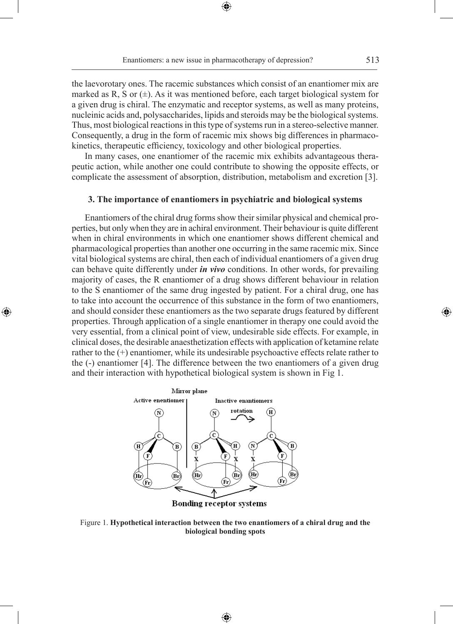Enantiomers: a new issue in pharmacotherapy of depression? 513

⊕

the laevorotary ones. The racemic substances which consist of an enantiomer mix are marked as R, S or  $(\pm)$ . As it was mentioned before, each target biological system for a given drug is chiral. The enzymatic and receptor systems, as well as many proteins, nucleinic acids and, polysaccharides, lipids and steroids may be the biological systems. Thus, most biological reactions in this type of systems run in a stereo-selective manner. Consequently, a drug in the form of racemic mix shows big differences in pharmacokinetics, therapeutic efficiency, toxicology and other biological properties.

In many cases, one enantiomer of the racemic mix exhibits advantageous therapeutic action, while another one could contribute to showing the opposite effects, or complicate the assessment of absorption, distribution, metabolism and excretion [3].

## **3. The importance of enantiomers in psychiatric and biological systems**

Enantiomers of the chiral drug forms show their similar physical and chemical properties, but only when they are in achiral environment. Their behaviour is quite different when in chiral environments in which one enantiomer shows different chemical and pharmacological properties than another one occurring in the same racemic mix. Since vital biological systems are chiral, then each of individual enantiomers of a given drug can behave quite differently under *in vivo* conditions. In other words, for prevailing majority of cases, the R enantiomer of a drug shows different behaviour in relation to the S enantiomer of the same drug ingested by patient. For a chiral drug, one has to take into account the occurrence of this substance in the form of two enantiomers, and should consider these enantiomers as the two separate drugs featured by different properties. Through application of a single enantiomer in therapy one could avoid the very essential, from a clinical point of view, undesirable side effects. For example, in clinical doses, the desirable anaesthetization effects with application of ketamine relate rather to the (+) enantiomer, while its undesirable psychoactive effects relate rather to the (-) enantiomer [4]. The difference between the two enantiomers of a given drug and their interaction with hypothetical biological system is shown in Fig 1.

◈



**Bonding receptor systems** 

Figure 1. **Hypothetical interaction between the two enantiomers of a chiral drug and the biological bonding spots**

♠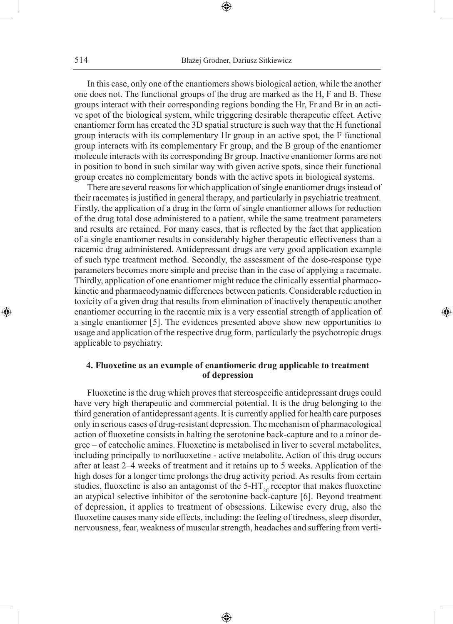⊕

In this case, only one of the enantiomers shows biological action, while the another one does not. The functional groups of the drug are marked as the H, F and B. These groups interact with their corresponding regions bonding the Hr, Fr and Br in an active spot of the biological system, while triggering desirable therapeutic effect. Active enantiomer form has created the 3D spatial structure is such way that the H functional group interacts with its complementary Hr group in an active spot, the F functional group interacts with its complementary Fr group, and the B group of the enantiomer molecule interacts with its corresponding Br group. Inactive enantiomer forms are not in position to bond in such similar way with given active spots, since their functional group creates no complementary bonds with the active spots in biological systems.

There are several reasons for which application of single enantiomer drugs instead of their racemates is justified in general therapy, and particularly in psychiatric treatment. Firstly, the application of a drug in the form of single enantiomer allows for reduction of the drug total dose administered to a patient, while the same treatment parameters and results are retained. For many cases, that is reflected by the fact that application of a single enantiomer results in considerably higher therapeutic effectiveness than a racemic drug administered. Antidepressant drugs are very good application example of such type treatment method. Secondly, the assessment of the dose-response type parameters becomes more simple and precise than in the case of applying a racemate. Thirdly, application of one enantiomer might reduce the clinically essential pharmacokinetic and pharmacodynamic differences between patients. Considerable reduction in toxicity of a given drug that results from elimination of inactively therapeutic another enantiomer occurring in the racemic mix is a very essential strength of application of a single enantiomer [5]. The evidences presented above show new opportunities to usage and application of the respective drug form, particularly the psychotropic drugs applicable to psychiatry.

⊕

## **4. Fluoxetine as an example of enantiomeric drug applicable to treatment of depression**

Fluoxetine is the drug which proves that stereospecific antidepressant drugs could have very high therapeutic and commercial potential. It is the drug belonging to the third generation of antidepressant agents. It is currently applied for health care purposes only in serious cases of drug-resistant depression. The mechanism of pharmacological action of fluoxetine consists in halting the serotonine back-capture and to a minor degree – of catecholic amines. Fluoxetine is metabolised in liver to several metabolites, including principally to norfluoxetine - active metabolite. Action of this drug occurs after at least 2–4 weeks of treatment and it retains up to 5 weeks. Application of the high doses for a longer time prolongs the drug activity period. As results from certain studies, fluoxetine is also an antagonist of the 5-HT<sub>2C</sub> receptor that makes fluoxetine an atypical selective inhibitor of the serotonine back-capture [6]. Beyond treatment of depression, it applies to treatment of obsessions. Likewise every drug, also the fluoxetine causes many side effects, including: the feeling of tiredness, sleep disorder, nervousness, fear, weakness of muscular strength, headaches and suffering from verti-

⊕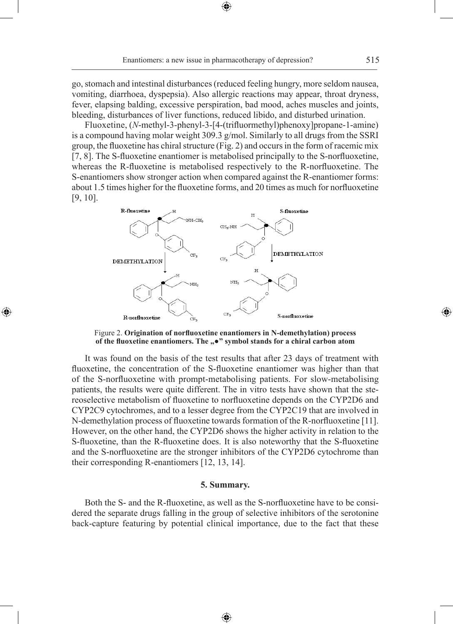⊕

go, stomach and intestinal disturbances (reduced feeling hungry, more seldom nausea, vomiting, diarrhoea, dyspepsia). Also allergic reactions may appear, throat dryness, fever, elapsing balding, excessive perspiration, bad mood, aches muscles and joints, bleeding, disturbances of liver functions, reduced libido, and disturbed urination.

Fluoxetine, (*N*-methyl-3-phenyl-3-[4-(trifluormethyl)phenoxy]propane-1-amine) is a compound having molar weight 309.3 g/mol. Similarly to all drugs from the SSRI group, the fluoxetine has chiral structure (Fig. 2) and occurs in the form of racemic mix [7, 8]. The S-fluoxetine enantiomer is metabolised principally to the S-norfluoxetine, whereas the R-fluoxetine is metabolised respectively to the R-norfluoxetine. The S-enantiomers show stronger action when compared against the R-enantiomer forms: about 1.5 times higher for the fluoxetine forms, and 20 times as much for norfluoxetine [9, 10].



◈

Figure 2. **Origination of norfluoxetine enantiomers in N-demethylation) process**  of the fluoxetine enantiomers. The " $\bullet$ " symbol stands for a chiral carbon atom

It was found on the basis of the test results that after 23 days of treatment with fluoxetine, the concentration of the S-fluoxetine enantiomer was higher than that of the S-norfluoxetine with prompt-metabolising patients. For slow-metabolising patients, the results were quite different. The in vitro tests have shown that the stereoselective metabolism of fluoxetine to norfluoxetine depends on the CYP2D6 and CYP2C9 cytochromes, and to a lesser degree from the CYP2C19 that are involved in N-demethylation process of fluoxetine towards formation of the R-norfluoxetine [11]. However, on the other hand, the CYP2D6 shows the higher activity in relation to the S-fluoxetine, than the R-fluoxetine does. It is also noteworthy that the S-fluoxetine and the S-norfluoxetine are the stronger inhibitors of the CYP2D6 cytochrome than their corresponding R-enantiomers [12, 13, 14].

#### **5. Summary.**

Both the S- and the R-fluoxetine, as well as the S-norfluoxetine have to be considered the separate drugs falling in the group of selective inhibitors of the serotonine back-capture featuring by potential clinical importance, due to the fact that these

♠